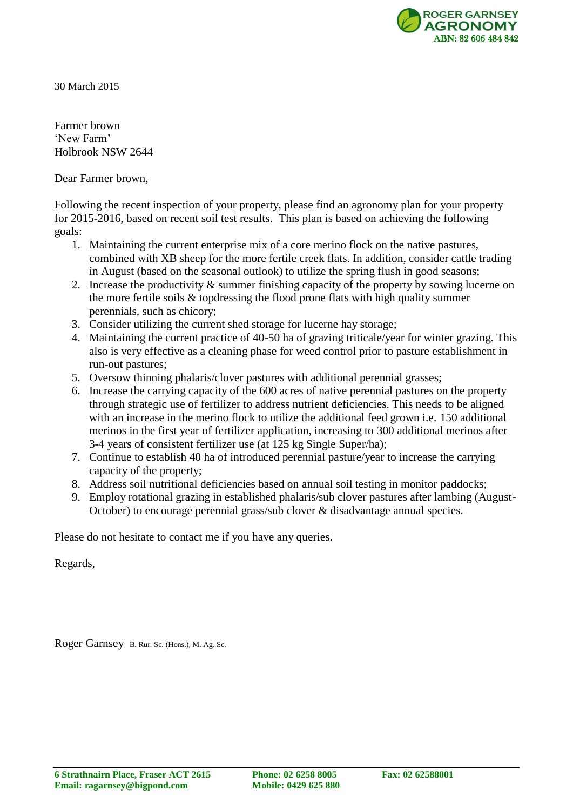

30 March 2015

Farmer brown 'New Farm' Holbrook NSW 2644

Dear Farmer brown,

Following the recent inspection of your property, please find an agronomy plan for your property for 2015-2016, based on recent soil test results. This plan is based on achieving the following goals:

- 1. Maintaining the current enterprise mix of a core merino flock on the native pastures, combined with XB sheep for the more fertile creek flats. In addition, consider cattle trading in August (based on the seasonal outlook) to utilize the spring flush in good seasons;
- 2. Increase the productivity & summer finishing capacity of the property by sowing lucerne on the more fertile soils & topdressing the flood prone flats with high quality summer perennials, such as chicory;
- 3. Consider utilizing the current shed storage for lucerne hay storage;
- 4. Maintaining the current practice of 40-50 ha of grazing triticale/year for winter grazing. This also is very effective as a cleaning phase for weed control prior to pasture establishment in run-out pastures;
- 5. Oversow thinning phalaris/clover pastures with additional perennial grasses;
- 6. Increase the carrying capacity of the 600 acres of native perennial pastures on the property through strategic use of fertilizer to address nutrient deficiencies. This needs to be aligned with an increase in the merino flock to utilize the additional feed grown *i.e.* 150 additional merinos in the first year of fertilizer application, increasing to 300 additional merinos after 3-4 years of consistent fertilizer use (at 125 kg Single Super/ha);
- 7. Continue to establish 40 ha of introduced perennial pasture/year to increase the carrying capacity of the property;
- 8. Address soil nutritional deficiencies based on annual soil testing in monitor paddocks;
- 9. Employ rotational grazing in established phalaris/sub clover pastures after lambing (August-October) to encourage perennial grass/sub clover & disadvantage annual species.

Please do not hesitate to contact me if you have any queries.

Regards,

Roger Garnsey B. Rur. Sc. (Hons.), M. Ag. Sc.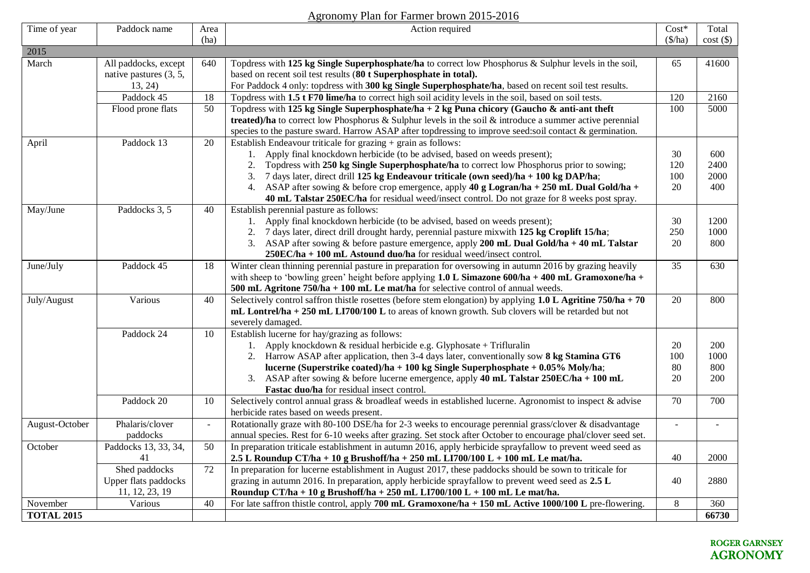## Agronomy Plan for Farmer brown 2015-2016

| Time of year      | Paddock name                                              | Area<br>(ha)    | Action required                                                                                                                                                                                                                                                                                                                                                                                                                                                                                                                             | $Cost*$<br>$(\frac{f}{h})$ | Total<br>cost()            |
|-------------------|-----------------------------------------------------------|-----------------|---------------------------------------------------------------------------------------------------------------------------------------------------------------------------------------------------------------------------------------------------------------------------------------------------------------------------------------------------------------------------------------------------------------------------------------------------------------------------------------------------------------------------------------------|----------------------------|----------------------------|
| 2015              |                                                           |                 |                                                                                                                                                                                                                                                                                                                                                                                                                                                                                                                                             |                            |                            |
| March             | All paddocks, except<br>native pastures (3, 5,<br>13, 24) | 640             | Topdress with 125 kg Single Superphosphate/ha to correct low Phosphorus & Sulphur levels in the soil,<br>based on recent soil test results (80 t Superphosphate in total).<br>For Paddock 4 only: topdress with 300 kg Single Superphosphate/ha, based on recent soil test results.                                                                                                                                                                                                                                                         | 65                         | 41600                      |
|                   | Paddock 45                                                | 18              | Topdress with 1.5 t F70 lime/ha to correct high soil acidity levels in the soil, based on soil tests.                                                                                                                                                                                                                                                                                                                                                                                                                                       | 120                        | 2160                       |
|                   | Flood prone flats                                         | 50              | Topdress with 125 kg Single Superphosphate/ha + 2 kg Puna chicory (Gaucho & anti-ant theft<br>treated)/ha to correct low Phosphorus & Sulphur levels in the soil & introduce a summer active perennial<br>species to the pasture sward. Harrow ASAP after topdressing to improve seed:soil contact & germination.                                                                                                                                                                                                                           | 100                        | 5000                       |
| April             | Paddock 13                                                | 20              | Establish Endeavour triticale for grazing + grain as follows:<br>1. Apply final knockdown herbicide (to be advised, based on weeds present);<br>Topdress with 250 kg Single Superphosphate/ha to correct low Phosphorus prior to sowing;<br>2.<br>7 days later, direct drill 125 kg Endeavour triticale (own seed)/ha + 100 kg DAP/ha;<br>3.<br>4. ASAP after sowing & before crop emergence, apply 40 g Logran/ha + 250 mL Dual Gold/ha +<br>40 mL Talstar 250EC/ha for residual weed/insect control. Do not graze for 8 weeks post spray. | 30<br>120<br>100<br>20     | 600<br>2400<br>2000<br>400 |
| May/June          | Paddocks 3, 5                                             | 40              | Establish perennial pasture as follows:<br>1. Apply final knockdown herbicide (to be advised, based on weeds present);<br>2. 7 days later, direct drill drought hardy, perennial pasture mixwith 125 kg Croplift 15/ha;<br>3. ASAP after sowing & before pasture emergence, apply 200 mL Dual Gold/ha $+$ 40 mL Talstar<br>250EC/ha + 100 mL Astound duo/ha for residual weed/insect control.                                                                                                                                               | 30<br>250<br>20            | 1200<br>1000<br>800        |
| June/July         | Paddock 45                                                | 18              | Winter clean thinning perennial pasture in preparation for oversowing in autumn 2016 by grazing heavily<br>with sheep to 'bowling green' height before applying $1.0$ L Simazone 600/ha + 400 mL Gramoxone/ha +<br>500 mL Agritone 750/ha + 100 mL Le mat/ha for selective control of annual weeds.                                                                                                                                                                                                                                         | $\overline{35}$            | 630                        |
| July/August       | Various                                                   | 40              | Selectively control saffron this tle rosettes (before stem elongation) by applying $1.0 L$ Agritine 750/ha + 70<br>$mL$ Lontrel/ha + 250 mL LI700/100 L to areas of known growth. Sub clovers will be retarded but not<br>severely damaged.                                                                                                                                                                                                                                                                                                 | 20                         | 800                        |
|                   | Paddock 24                                                | 10              | Establish lucerne for hay/grazing as follows:<br>1. Apply knockdown & residual herbicide e.g. Glyphosate + Trifluralin<br>2. Harrow ASAP after application, then 3-4 days later, conventionally sow 8 kg Stamina GT6<br>lucerne (Superstrike coated)/ha + 100 kg Single Superphosphate + 0.05% Moly/ha;<br>3. ASAP after sowing & before lucerne emergence, apply 40 mL Talstar 250EC/ha + 100 mL<br>Fastac duo/ha for residual insect control.                                                                                             | 20<br>100<br>80<br>20      | 200<br>1000<br>800<br>200  |
|                   | Paddock 20                                                | 10              | Selectively control annual grass & broadleaf weeds in established lucerne. Agronomist to inspect & advise<br>herbicide rates based on weeds present.                                                                                                                                                                                                                                                                                                                                                                                        | 70                         | 700                        |
| August-October    | Phalaris/clover<br>paddocks                               | $\blacksquare$  | Rotationally graze with 80-100 DSE/ha for 2-3 weeks to encourage perennial grass/clover & disadvantage<br>annual species. Rest for 6-10 weeks after grazing. Set stock after October to encourage phal/clover seed set.                                                                                                                                                                                                                                                                                                                     | $\blacksquare$             | $\sim$                     |
| October           | Paddocks 13, 33, 34,<br>41                                | $\overline{50}$ | In preparation triticale establishment in autumn 2016, apply herbicide sprayfallow to prevent weed seed as<br>2.5 L Roundup CT/ha + 10 g Brushoff/ha + 250 mL LI700/100 L + 100 mL Le mat/ha.                                                                                                                                                                                                                                                                                                                                               | 40                         | 2000                       |
|                   | Shed paddocks<br>Upper flats paddocks<br>11, 12, 23, 19   | 72              | In preparation for lucerne establishment in August 2017, these paddocks should be sown to triticale for<br>grazing in autumn 2016. In preparation, apply herbicide sprayfallow to prevent weed seed as 2.5 L<br>Roundup CT/ha + 10 g Brushoff/ha + 250 mL LI700/100 L + 100 mL Le mat/ha.                                                                                                                                                                                                                                                   | 40                         | 2880                       |
| November          | Various                                                   | 40              | For late saffron thistle control, apply 700 mL Gramoxone/ha + 150 mL Active 1000/100 L pre-flowering.                                                                                                                                                                                                                                                                                                                                                                                                                                       | $8\,$                      | 360                        |
| <b>TOTAL 2015</b> |                                                           |                 |                                                                                                                                                                                                                                                                                                                                                                                                                                                                                                                                             |                            | 66730                      |